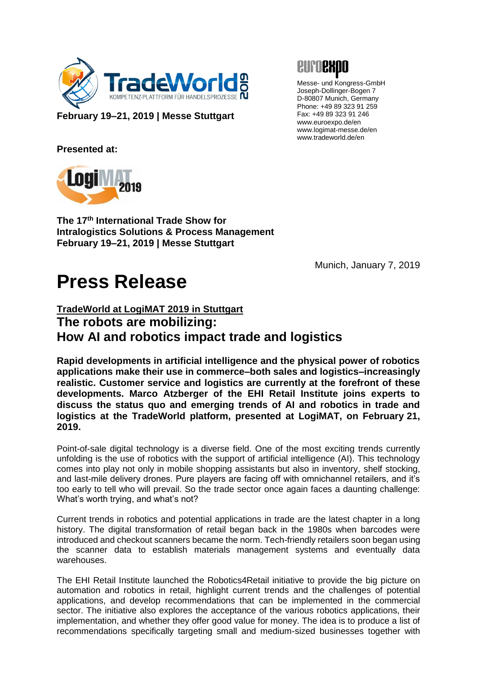

**February 19–21, 2019 | Messe Stuttgart**



Messe- und Kongress-GmbH Joseph-Dollinger-Bogen 7 D-80807 Munich, Germany Phone: +49 89 323 91 259 Fax: +49 89 323 91 246 www.euroexpo.de/en www.logimat-messe.de/en www.tradeworld.de/en

**Presented at:**



**The 17th International Trade Show for Intralogistics Solutions & Process Management February 19–21, 2019 | Messe Stuttgart**

Munich, January 7, 2019

## **Press Release**

## **TradeWorld at LogiMAT 2019 in Stuttgart The robots are mobilizing: How AI and robotics impact trade and logistics**

**Rapid developments in artificial intelligence and the physical power of robotics applications make their use in commerce–both sales and logistics–increasingly realistic. Customer service and logistics are currently at the forefront of these developments. Marco Atzberger of the EHI Retail Institute joins experts to discuss the status quo and emerging trends of AI and robotics in trade and logistics at the TradeWorld platform, presented at LogiMAT, on February 21, 2019.**

Point-of-sale digital technology is a diverse field. One of the most exciting trends currently unfolding is the use of robotics with the support of artificial intelligence (AI). This technology comes into play not only in mobile shopping assistants but also in inventory, shelf stocking, and last-mile delivery drones. Pure players are facing off with omnichannel retailers, and it's too early to tell who will prevail. So the trade sector once again faces a daunting challenge: What's worth trying, and what's not?

Current trends in robotics and potential applications in trade are the latest chapter in a long history. The digital transformation of retail began back in the 1980s when barcodes were introduced and checkout scanners became the norm. Tech-friendly retailers soon began using the scanner data to establish materials management systems and eventually data warehouses.

The EHI Retail Institute launched the Robotics4Retail initiative to provide the big picture on automation and robotics in retail, highlight current trends and the challenges of potential applications, and develop recommendations that can be implemented in the commercial sector. The initiative also explores the acceptance of the various robotics applications, their implementation, and whether they offer good value for money. The idea is to produce a list of recommendations specifically targeting small and medium-sized businesses together with